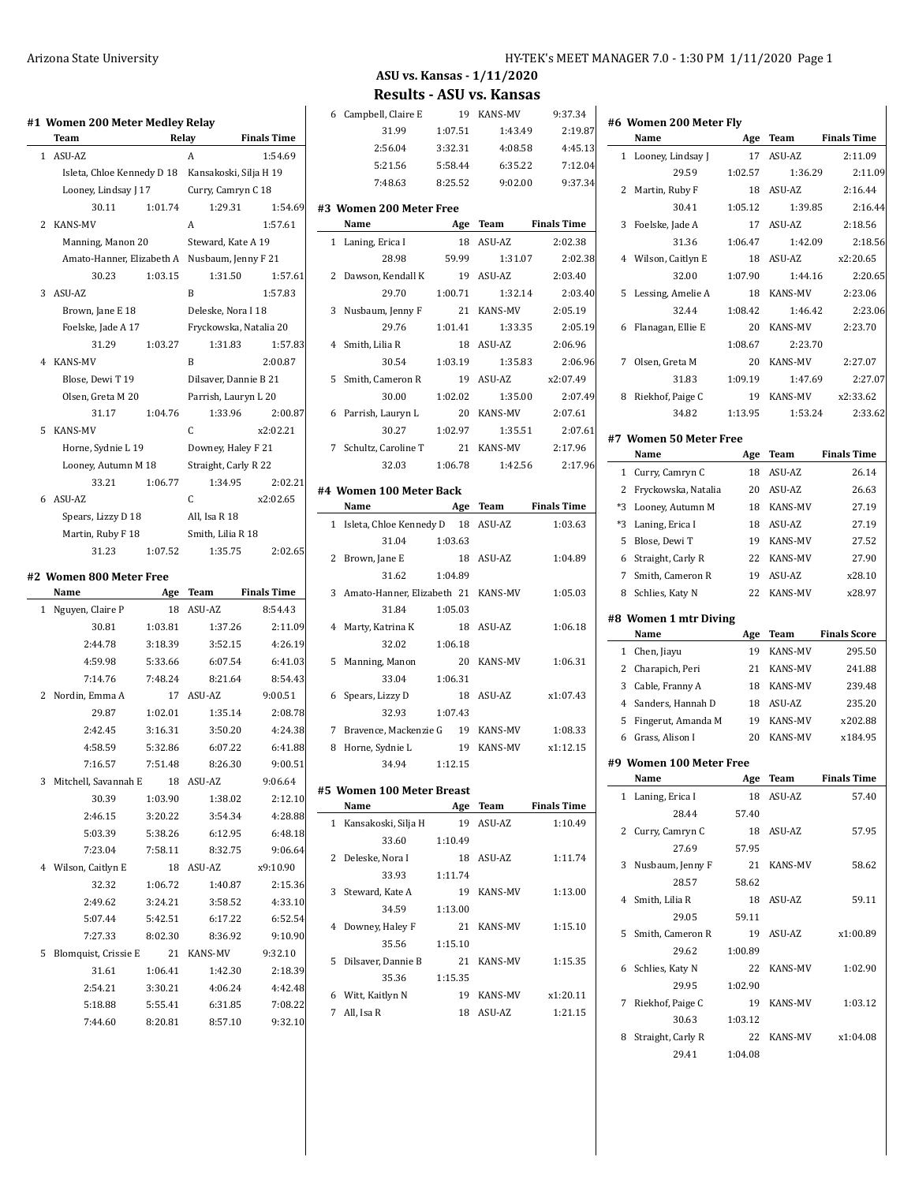|   | Team                                              | Relay              | <b>Finals Time</b>     |                                                                |
|---|---------------------------------------------------|--------------------|------------------------|----------------------------------------------------------------|
|   | 1 ASU-AZ                                          |                    | Α                      | 1:54.69                                                        |
|   | Isleta, Chloe Kennedy D 18 Kansakoski, Silja H 19 |                    |                        |                                                                |
|   | Looney, Lindsay J 17                              |                    | Curry, Camryn C 18     |                                                                |
|   | 30.11                                             | 1:01.74            | 1:29.31                | 1:54.69                                                        |
| 2 | <b>KANS-MV</b>                                    |                    | Α                      | 1:57.61                                                        |
|   | Manning, Manon 20                                 | Steward, Kate A 19 |                        |                                                                |
|   | Amato-Hanner, Elizabeth A Nusbaum, Jenny F 21     |                    |                        |                                                                |
|   | 30.23                                             | 1:03.15            | 1:31.50                | 1:57.61                                                        |
|   | 3 ASU-AZ                                          |                    | B                      | 1:57.83                                                        |
|   | Brown, Jane E 18                                  | Deleske, Nora I 18 |                        |                                                                |
|   | Foelske, Jade A 17                                |                    | Fryckowska, Natalia 20 |                                                                |
|   | 31.29                                             | 1:03.27            | 1:31.83                | 1:57.83                                                        |
|   | 4 KANS-MV                                         |                    | B                      | 2:00.87                                                        |
|   | Blose, Dewi T 19                                  |                    | Dilsaver, Dannie B 21  |                                                                |
|   | Olsen, Greta M 20                                 |                    | Parrish, Lauryn L 20   |                                                                |
|   | 31.17                                             | 1:04.76            | 1:33.96                | 2:00.87                                                        |
| 5 | <b>KANS-MV</b>                                    |                    | C                      | x2:02.21                                                       |
|   | Horne, Sydnie L 19                                | Downey, Haley F 21 |                        |                                                                |
|   | Looney, Autumn M 18                               |                    | Straight, Carly R 22   |                                                                |
|   | 33.21                                             | 1:06.77            | 1:34.95                | 2:02.21                                                        |
| 6 | ASU-AZ                                            |                    | C                      | x2:02.65                                                       |
|   | Spears, Lizzy D 18                                | All, Isa R 18      |                        |                                                                |
|   | Martin, Ruby F 18                                 | Smith, Lilia R 18  |                        |                                                                |
|   | 31.23                                             | 1:07.52            | 1:35.75                | 2:02.65                                                        |
|   | #2  Women 800 Meter Free                          |                    |                        |                                                                |
|   | Name                                              | Age                | Team                   | <b>Finals Time</b>                                             |
| 1 | Nguyen, Claire P                                  | 18                 | ASU-AZ                 | 8:54.43                                                        |
|   | 30.81                                             | 1:03.81            | 1:37.26                | 2:11.09                                                        |
|   | 2:44.78                                           | 3:18.39            | 3:52.15                | 4:26.19                                                        |
|   | 4:59.98                                           | 5:33.66            | 6:07.54                | 6:41.03                                                        |
|   | 7:14.76                                           | 7:48.24            | 8:21.64                | 8:54.43                                                        |
| 2 | Nordin, Emma A                                    | 17                 | ASU-AZ                 | 9:00.51                                                        |
|   | 29.87                                             | 1:02.01            | 1:35.14                | 2:08.78                                                        |
|   | 2:42.45                                           | 3:16.31            | 3:50.20                | 4:24.38                                                        |
|   | 4:58.59                                           | 5:32.86            | 6:07.22                | 6:41.88                                                        |
|   | 7:16.57                                           | 7:51.48            | 8:26.30                | 9:00.51                                                        |
|   | Mitchell, Savannah E                              | 18                 | ASU-AZ                 | 9:06.64                                                        |
| 3 |                                                   |                    |                        |                                                                |
|   | 30.39                                             | 1:03.90            |                        |                                                                |
|   | 2:46.15                                           | 3:20.22            | 1:38.02<br>3:54.34     |                                                                |
|   | 5:03.39                                           | 5:38.26            | 6:12.95                |                                                                |
|   | 7:23.04                                           | 7:58.11            | 8:32.75                |                                                                |
|   |                                                   | 18                 | ASU-AZ                 |                                                                |
|   | 4 Wilson, Caitlyn E                               |                    |                        | x9:10.90                                                       |
|   | 32.32<br>2:49.62                                  | 1:06.72<br>3:24.21 | 1:40.87<br>3:58.52     | 2:12.10<br>4:28.88<br>6:48.18<br>9:06.64<br>2:15.36<br>4:33.10 |

5 Blomquist, Crissie E 21 KANS-MV

| Arizona State University | HY-TEK's MEET MANAGER 7.0 - 1:30 PM 1/11/2020 Page 1 |
|--------------------------|------------------------------------------------------|
|                          |                                                      |

## **ASU vs. Kansas - 1/11/2020 Results - ASU vs. Kansas**

6 Campbell, Claire E 19 KANS-MV 9:37.34

| II zuu meter metiev keläy                     |         |                        |                    |   |                                      |         |            |                    |   |
|-----------------------------------------------|---------|------------------------|--------------------|---|--------------------------------------|---------|------------|--------------------|---|
|                                               | Relay   |                        | <b>Finals Time</b> |   | 31.99                                | 1:07.51 | 1:43.49    | 2:19.87            |   |
| Z                                             |         | A                      | 1:54.69            |   | 2:56.04                              | 3:32.31 | 4:08.58    | 4:45.13            |   |
| ta, Chloe Kennedy D 18 Kansakoski, Silja H 19 |         |                        |                    |   | 5:21.56                              | 5:58.44 | 6:35.22    | 7:12.04            |   |
| ney, Lindsay J 17                             |         | Curry, Camryn C 18     |                    |   | 7:48.63                              | 8:25.52 | 9:02.00    | 9:37.34            |   |
| 30.11                                         | 1:01.74 | 1:29.31                | 1:54.69            |   | #3 Women 200 Meter Free              |         |            |                    |   |
| -MV                                           |         | A                      | 1:57.61            |   | Name                                 |         | Age Team   | <b>Finals Time</b> |   |
| ning, Manon 20                                |         | Steward, Kate A 19     |                    |   | 1 Laning, Erica I                    |         | 18 ASU-AZ  | 2:02.38            |   |
| ato-Hanner, Elizabeth A Nusbaum, Jenny F 21   |         |                        |                    |   | 28.98                                | 59.99   | 1:31.07    | 2:02.38            |   |
| 30.23                                         | 1:03.15 | 1:31.50                | 1:57.61            |   | 2 Dawson, Kendall K                  | 19      | ASU-AZ     | 2:03.40            |   |
| Z                                             |         | B                      | 1:57.83            |   | 29.70                                | 1:00.71 | 1:32.14    | 2:03.40            |   |
| wn, Jane E 18                                 |         | Deleske, Nora I 18     |                    |   | 3 Nusbaum, Jenny F                   |         | 21 KANS-MV | 2:05.19            |   |
| lske, Jade A 17                               |         | Fryckowska, Natalia 20 |                    |   | 29.76                                | 1:01.41 | 1:33.35    | 2:05.19            |   |
| 31.29                                         | 1:03.27 | 1:31.83                | 1:57.83            |   | 4 Smith, Lilia R                     |         | 18 ASU-AZ  | 2:06.96            |   |
| -MV                                           |         | B                      | 2:00.87            |   | 30.54                                | 1:03.19 | 1:35.83    | 2:06.96            |   |
| se, Dewi T 19                                 |         | Dilsaver, Dannie B 21  |                    |   | 5 Smith, Cameron R                   | 19      | ASU-AZ     | x2:07.49           |   |
| en, Greta M 20                                |         | Parrish, Lauryn L 20   |                    |   | 30.00                                | 1:02.02 | 1:35.00    | 2:07.49            |   |
| 31.17                                         | 1:04.76 | 1:33.96                | 2:00.87            |   | 6 Parrish, Lauryn L                  |         | 20 KANS-MV | 2:07.61            |   |
| -MV                                           |         | C                      | x2:02.21           |   | 30.27                                | 1:02.97 | 1:35.51    | 2:07.61            |   |
| ne, Sydnie L 19                               |         | Downey, Haley F 21     |                    |   | 7 Schultz, Caroline T                |         | 21 KANS-MV | 2:17.96            | Ħ |
| ney, Autumn M 18                              |         | Straight, Carly R 22   |                    |   | 32.03                                | 1:06.78 | 1:42.56    | 2:17.96            |   |
| 33.21                                         | 1:06.77 | 1:34.95                | 2:02.21            |   |                                      |         |            |                    |   |
| Z                                             |         | C                      | x2:02.65           |   | #4 Women 100 Meter Back              |         |            |                    |   |
| ars, Lizzy D 18                               |         | All, Isa R 18          |                    |   | Name                                 |         | Age Team   | <b>Finals Time</b> |   |
| tin, Ruby F 18                                |         | Smith, Lilia R 18      |                    |   | 1 Isleta, Chloe Kennedy D 18 ASU-AZ  |         |            | 1:03.63            |   |
| 31.23                                         | 1:07.52 | 1:35.75                | 2:02.65            |   | 31.04                                | 1:03.63 |            |                    |   |
|                                               |         |                        |                    |   | 2 Brown, Jane E                      |         | 18 ASU-AZ  | 1:04.89            |   |
| n 800 Meter Free                              |         |                        |                    |   | 31.62                                | 1:04.89 |            |                    |   |
|                                               |         | Age Team               | <b>Finals Time</b> |   | 3 Amato-Hanner, Elizabeth 21 KANS-MV |         |            | 1:05.03            |   |
| n, Claire P                                   |         | 18 ASU-AZ              | 8:54.43            |   | 31.84                                | 1:05.03 |            |                    | # |
| 30.81                                         | 1:03.81 | 1:37.26                | 2:11.09            |   | 4 Marty, Katrina K                   |         | 18 ASU-AZ  | 1:06.18            |   |
| 2:44.78                                       | 3:18.39 | 3:52.15                | 4:26.19            |   | 32.02                                | 1:06.18 |            |                    |   |
| 4:59.98                                       | 5:33.66 | 6:07.54                | 6:41.03            |   | 5 Manning, Manon                     |         | 20 KANS-MV | 1:06.31            |   |
| 7:14.76                                       | 7:48.24 | 8:21.64                | 8:54.43            |   | 33.04                                | 1:06.31 |            |                    |   |
| n, Emma A                                     |         | 17 ASU-AZ              | 9:00.51            |   | 6 Spears, Lizzy D                    |         | 18 ASU-AZ  | x1:07.43           |   |
| 29.87                                         | 1:02.01 | 1:35.14                | 2:08.78            |   | 32.93                                | 1:07.43 |            |                    |   |
| 2:42.45                                       | 3:16.31 | 3:50.20                | 4:24.38            |   | 7 Bravence, Mackenzie G 19 KANS-MV   |         |            | 1:08.33            |   |
| 4:58.59                                       | 5:32.86 | 6:07.22                | 6:41.88            |   | 8 Horne, Sydnie L                    |         | 19 KANS-MV | x1:12.15           |   |
| 7:16.57                                       | 7:51.48 | 8:26.30                | 9:00.51            |   | 34.94                                | 1:12.15 |            |                    | Ħ |
| ell, Savannah E                               |         | 18 ASU-AZ              | 9:06.64            |   | #5 Women 100 Meter Breast            |         |            |                    |   |
| 30.39                                         | 1:03.90 | 1:38.02                | 2:12.10            |   | Name                                 |         | Age Team   | <b>Finals Time</b> |   |
| 2:46.15                                       | 3:20.22 | 3:54.34                | 4:28.88            |   | 1 Kansakoski, Silja H                |         | 19 ASU-AZ  | 1:10.49            |   |
| 5:03.39                                       | 5:38.26 | 6:12.95                | 6:48.18            |   | 33.60                                | 1:10.49 |            |                    |   |
| 7:23.04                                       | 7:58.11 | 8:32.75                | 9:06.64            |   | 2 Deleske, Nora I                    | 18      | ASU-AZ     | 1:11.74            |   |
| n, Caitlyn E                                  |         | 18 ASU-AZ              | x9:10.90           |   | 33.93                                | 1:11.74 |            |                    |   |
| 32.32                                         | 1:06.72 | 1:40.87                | 2:15.36            |   | 3 Steward, Kate A                    | 19      | KANS-MV    | 1:13.00            |   |
| 2:49.62                                       | 3:24.21 | 3:58.52                | 4:33.10            |   | 34.59                                | 1:13.00 |            |                    |   |
| 5:07.44                                       | 5:42.51 | 6:17.22                | 6:52.54            |   |                                      |         |            |                    |   |
| 7:27.33                                       | 8:02.30 | 8:36.92                | 9:10.90            | 4 | Downey, Haley F                      | 21      | KANS-MV    | 1:15.10            |   |
| juist, Crissie E                              |         | 21 KANS-MV             | 9:32.10            |   | 35.56                                | 1:15.10 |            |                    |   |
| 31.61                                         | 1:06.41 | 1:42.30                | 2:18.39            |   | 5 Dilsaver, Dannie B                 | 21      | KANS-MV    | 1:15.35            |   |
| 2:54.21                                       | 3:30.21 | 4:06.24                | 4:42.48            |   | 35.36                                | 1:15.35 |            |                    |   |
| 5:18.88                                       | 5:55.41 | 6:31.85                | 7:08.22            |   | 6 Witt, Kaitlyn N                    | 19      | KANS-MV    | x1:20.11           |   |
| 7:44.60                                       | 8:20.81 | 8:57.10                | 9:32.10            |   | 7 All, Isa R                         |         | 18 ASU-AZ  | 1:21.15            |   |
|                                               |         |                        |                    |   |                                      |         |            |                    |   |

|                | #6 Women 200 Meter Fly  |         |                |                     |
|----------------|-------------------------|---------|----------------|---------------------|
|                | Name                    | Age     | Team           | <b>Finals Time</b>  |
| 1              | Looney, Lindsay J       | 17      | ASU-AZ         | 2:11.09             |
|                | 29.59                   | 1:02.57 | 1:36.29        | 2:11.09             |
| 2              | Martin, Ruby F          | 18      | ASU-AZ         | 2:16.44             |
|                | 30.41                   | 1:05.12 | 1:39.85        | 2:16.44             |
| 3              | Foelske, Jade A         | 17      | ASU-AZ         | 2:18.56             |
|                | 31.36                   | 1:06.47 | 1:42.09        | 2:18.56             |
| 4              | Wilson, Caitlyn E       | 18      | ASU-AZ         | x2:20.65            |
|                | 32.00                   | 1:07.90 | 1:44.16        | 2:20.65             |
| 5              | Lessing, Amelie A       | 18      | <b>KANS-MV</b> | 2:23.06             |
|                | 32.44                   | 1:08.42 | 1:46.42        | 2:23.06             |
| 6              | Flanagan, Ellie E       | 20      | <b>KANS-MV</b> | 2:23.70             |
|                |                         | 1:08.67 | 2:23.70        |                     |
| 7              | Olsen, Greta M          | 20      | <b>KANS-MV</b> | 2:27.07             |
|                | 31.83                   | 1:09.19 | 1:47.69        | 2:27.07             |
| 8              | Riekhof, Paige C        | 19      | <b>KANS-MV</b> | x2:33.62            |
|                | 3482                    | 1:13.95 | 1:53.24        | 2:33.62             |
|                | #7 Women 50 Meter Free  |         |                |                     |
|                | Name                    | Age     | Team           | <b>Finals Time</b>  |
| $\mathbf{1}$   | Curry, Camryn C         | 18      | ASU-AZ         | 26.14               |
| 2              | Fryckowska, Natalia     | 20      | ASU-AZ         | 26.63               |
| *3             | Looney, Autumn M        | 18      | <b>KANS-MV</b> | 27.19               |
| *3             | Laning, Erica I         | 18      | ASU-AZ         | 27.19               |
| 5              | Blose, Dewi T           | 19      | <b>KANS-MV</b> | 27.52               |
|                | 6 Straight, Carly R     | 22      | <b>KANS-MV</b> | 27.90               |
| 7              | Smith, Cameron R        | 19      | ASU-AZ         | x28.10              |
| 8              | Schlies, Katy N         | 22      | <b>KANS-MV</b> | x28.97              |
|                |                         |         |                |                     |
|                | #8 Women 1 mtr Diving   |         |                |                     |
|                | Name                    | Age     | Team           | <b>Finals Score</b> |
| $\mathbf{1}$   | Chen, Jiayu             | 19      | <b>KANS-MV</b> | 295.50              |
| $\mathbf{2}$   | Charapich, Peri         | 21      | <b>KANS-MV</b> | 241.88              |
| 3              | Cable, Franny A         | 18      | <b>KANS-MV</b> | 239.48              |
| $\overline{4}$ | Sanders, Hannah D       | 18      | ASU-AZ         | 235.20              |
| 5              | Fingerut, Amanda M      | 19      | <b>KANS-MV</b> | x202.88             |
|                | 6 Grass, Alison I       | 20      | <b>KANS-MV</b> | x184.95             |
|                | #9 Women 100 Meter Free |         |                |                     |
|                | Name                    | Age     | Team           | <b>Finals Time</b>  |
| 1              | Laning, Erica I         | 18      | ASU-AZ         | 57.40               |
|                | 28.44                   | 57.40   |                |                     |
|                | 2 Curry, Camryn C       | 18      | ASU-AZ         | 57.95               |
|                | 27.69                   | 57.95   |                |                     |
| 3              | Nusbaum, Jenny F        | 21      | KANS-MV        | 58.62               |
|                | 28.57                   | 58.62   |                |                     |
|                | 4 Smith, Lilia R        | 18      | ASU-AZ         | 59.11               |
|                | 29.05                   | 59.11   |                |                     |
| 5              | Smith, Cameron R        | 19      | ASU-AZ         | x1:00.89            |
|                | 29.62                   | 1:00.89 |                |                     |
| 6              | Schlies, Katy N         | 22      | <b>KANS-MV</b> | 1:02.90             |
|                | 29.95                   | 1:02.90 |                |                     |
| 7              | Riekhof, Paige C        | 19      | <b>KANS-MV</b> | 1:03.12             |
|                | 30.63                   | 1:03.12 |                |                     |
| 8              | Straight, Carly R       | 22      | KANS-MV        | x1:04.08            |
|                | 29.41                   | 1:04.08 |                |                     |
|                |                         |         |                |                     |